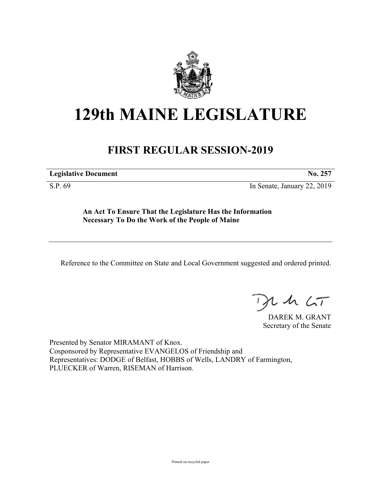

## **129th MAINE LEGISLATURE**

## **FIRST REGULAR SESSION-2019**

**Legislative Document No. 257**

S.P. 69 In Senate, January 22, 2019

**An Act To Ensure That the Legislature Has the Information Necessary To Do the Work of the People of Maine**

Reference to the Committee on State and Local Government suggested and ordered printed.

 $125$ 

DAREK M. GRANT Secretary of the Senate

Presented by Senator MIRAMANT of Knox. Cosponsored by Representative EVANGELOS of Friendship and Representatives: DODGE of Belfast, HOBBS of Wells, LANDRY of Farmington, PLUECKER of Warren, RISEMAN of Harrison.